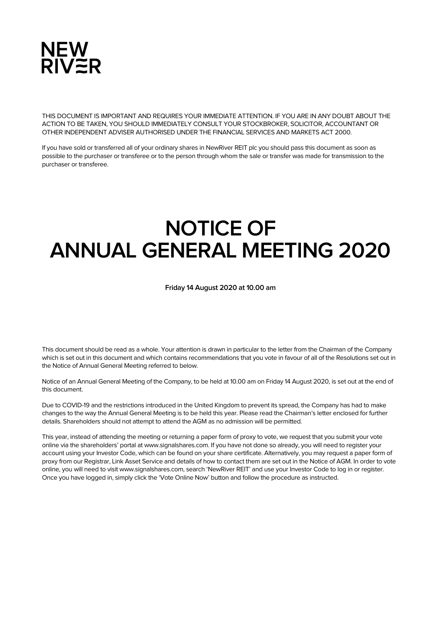

THIS DOCUMENT IS IMPORTANT AND REQUIRES YOUR IMMEDIATE ATTENTION. IF YOU ARE IN ANY DOUBT ABOUT THE ACTION TO BE TAKEN, YOU SHOULD IMMEDIATELY CONSULT YOUR STOCKBROKER, SOLICITOR, ACCOUNTANT OR OTHER INDEPENDENT ADVISER AUTHORISED UNDER THE FINANCIAL SERVICES AND MARKETS ACT 2000.

If you have sold or transferred all of your ordinary shares in NewRiver REIT plc you should pass this document as soon as possible to the purchaser or transferee or to the person through whom the sale or transfer was made for transmission to the purchaser or transferee.

# **NOTICE OF ANNUAL GENERAL MEETING 2020**

**Friday 14 August 2020 at 10.00 am** 

This document should be read as a whole. Your attention is drawn in particular to the letter from the Chairman of the Company which is set out in this document and which contains recommendations that you vote in favour of all of the Resolutions set out in the Notice of Annual General Meeting referred to below.

Notice of an Annual General Meeting of the Company, to be held at 10.00 am on Friday 14 August 2020, is set out at the end of this document.

Due to COVID-19 and the restrictions introduced in the United Kingdom to prevent its spread, the Company has had to make changes to the way the Annual General Meeting is to be held this year. Please read the Chairman's letter enclosed for further details. Shareholders should not attempt to attend the AGM as no admission will be permitted.

This year, instead of attending the meeting or returning a paper form of proxy to vote, we request that you submit your vote online via the shareholders' portal at www.signalshares.com. If you have not done so already, you will need to register your account using your Investor Code, which can be found on your share certificate. Alternatively, you may request a paper form of proxy from our Registrar, Link Asset Service and details of how to contact them are set out in the Notice of AGM. In order to vote online, you will need to visit www.signalshares.com, search 'NewRiver REIT' and use your Investor Code to log in or register. Once you have logged in, simply click the 'Vote Online Now' button and follow the procedure as instructed.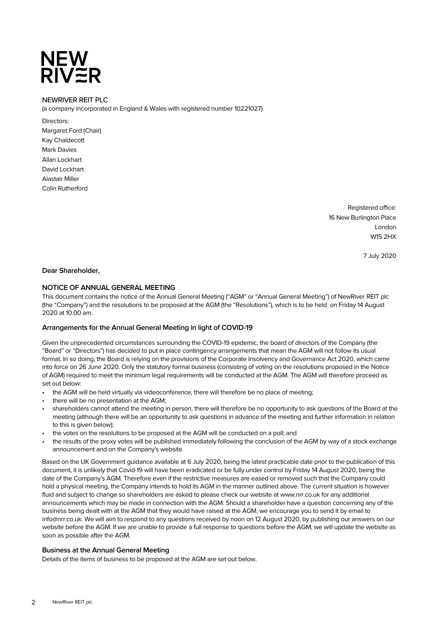# NEW<br>RIV≊R

## NEWRIVER REIT PLC

(a company incorporated in England & Wales with registered number 10221027)

Directors: Margaret Ford (Chair) Kay Chaldecott Mark Davies Allan Lockhart David Lockhart Alastair Miller Colin Rutherford

> Registered office: 16 New Burlington Place London W1S 2HX

> > 7 July 2020

# **Dear Shareholder,**

# **NOTICE OF ANNUAL GENERAL MEETING**

This document contains the notice of the Annual General Meeting ("AGM" or "Annual General Meeting") of NewRiver REIT plc (the "Company") and the resolutions to be proposed at the AGM (the "Resolutions"), which is to be held on Friday 14 August 2020 at 10.00 am.

#### **Arrangements for the Annual General Meeting in light of COVID-19**

Given the unprecedented circumstances surrounding the COVID-19 epidemic, the board of directors of the Company (the "Board" or "Directors") has decided to put in place contingency arrangements that mean the AGM will not follow its usual format. In so doing, the Board is relying on the provisions of the Corporate Insolvency and Governance Act 2020, which came into force on 26 June 2020. Only the statutory formal business (consisting of voting on the resolutions proposed in the Notice of AGM) required to meet the minimum legal requirements will be conducted at the AGM. The AGM will therefore proceed as set out below:

- the AGM will be held virtually via videoconference, there will therefore be no place of meeting;
- there will be no presentation at the AGM:
- shareholders cannot attend the meeting in person, there will therefore be no opportunity to ask questions of the Board at the meeting (although there will be an opportunity to ask questions in advance of the meeting and further information in relation to this is given below);
- the votes on the resolutions to be proposed at the AGM will be conducted on a poll; and
- the results of the proxy votes will be published immediately following the conclusion of the AGM by way of a stock exchange announcement and on the Company's website.

Based on the UK Government guidance available at 6 July 2020, being the latest practicable date prior to the publication of this document, it is unlikely that Covid-19 will have been eradicated or be fully under control by Friday 14 August 2020, being the date of the Company's AGM. Therefore even if the restrictive measures are eased or removed such that the Company could hold a physical meeting, the Company intends to hold its AGM in the manner outlined above. The current situation is however fluid and subject to change so shareholders are asked to please check our website at www.nrr.co.uk for any additional announcements which may be made in connection with the AGM. Should a shareholder have a question concerning any of the business being dealt with at the AGM that they would have raised at the AGM, we encourage you to send it by email to info@nrr.co.uk. We will aim to respond to any questions received by noon on 12 August 2020, by publishing our answers on our website before the AGM. If we are unable to provide a full response to questions before the AGM, we will update the website as soon as possible after the AGM.

# **Business at the Annual General Meeting**

Details of the items of business to be proposed at the AGM are set out below.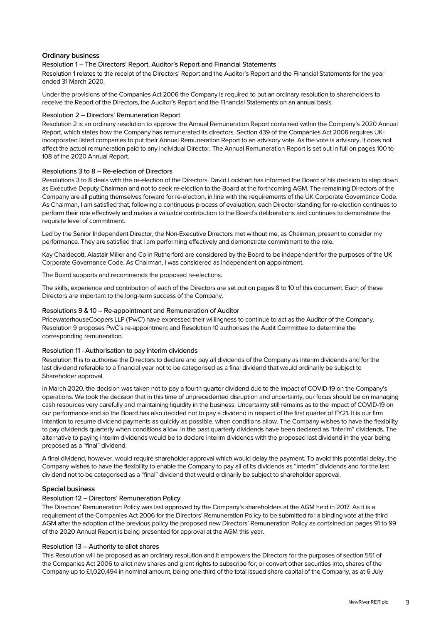# **Ordinary business**

#### Resolution 1 – The Directors' Report, Auditor's Report and Financial Statements

Resolution 1 relates to the receipt of the Directors' Report and the Auditor's Report and the Financial Statements for the year ended 31 March 2020.

Under the provisions of the Companies Act 2006 the Company is required to put an ordinary resolution to shareholders to receive the Report of the Directors, the Auditor's Report and the Financial Statements on an annual basis.

#### Resolution 2 – Directors' Remuneration Report

Resolution 2 is an ordinary resolution to approve the Annual Remuneration Report contained within the Company's 2020 Annual Report, which states how the Company has remunerated its directors. Section 439 of the Companies Act 2006 requires UKincorporated listed companies to put their Annual Remuneration Report to an advisory vote. As the vote is advisory, it does not affect the actual remuneration paid to any individual Director. The Annual Remuneration Report is set out in full on pages 100 to 108 of the 2020 Annual Report.

#### Resolutions 3 to 8 – Re-election of Directors

Resolutions 3 to 8 deals with the re-election of the Directors. David Lockhart has informed the Board of his decision to step down as Executive Deputy Chairman and not to seek re-election to the Board at the forthcoming AGM. The remaining Directors of the Company are all putting themselves forward for re-election, in line with the requirements of the UK Corporate Governance Code. As Chairman, I am satisfied that, following a continuous process of evaluation, each Director standing for re-election continues to perform their role effectively and makes a valuable contribution to the Board's deliberations and continues to demonstrate the requisite level of commitment.

Led by the Senior Independent Director, the Non-Executive Directors met without me, as Chairman, present to consider my performance. They are satisfied that I am performing effectively and demonstrate commitment to the role.

Kay Chaldecott, Alastair Miller and Colin Rutherford are considered by the Board to be independent for the purposes of the UK Corporate Governance Code. As Chairman, I was considered as independent on appointment.

The Board supports and recommends the proposed re-elections.

The skills, experience and contribution of each of the Directors are set out on pages 8 to 10 of this document. Each of these Directors are important to the long-term success of the Company.

#### Resolutions 9 & 10 – Re-appointment and Remuneration of Auditor

PricewaterhouseCoopers LLP ('PwC') have expressed their willingness to continue to act as the Auditor of the Company. Resolution 9 proposes PwC's re-appointment and Resolution 10 authorises the Audit Committee to determine the corresponding remuneration.

#### Resolution 11 - Authorisation to pay interim dividends

Resolution 11 is to authorise the Directors to declare and pay all dividends of the Company as interim dividends and for the last dividend referable to a financial year not to be categorised as a final dividend that would ordinarily be subject to Shareholder approval.

In March 2020, the decision was taken not to pay a fourth quarter dividend due to the impact of COVID-19 on the Company's operations. We took the decision that in this time of unprecedented disruption and uncertainty, our focus should be on managing cash resources very carefully and maintaining liquidity in the business. Uncertainty still remains as to the impact of COVID-19 on our performance and so the Board has also decided not to pay a dividend in respect of the first quarter of FY21. It is our firm intention to resume dividend payments as quickly as possible, when conditions allow. The Company wishes to have the flexibility to pay dividends quarterly when conditions allow. In the past quarterly dividends have been declared as "interim" dividends. The alternative to paying interim dividends would be to declare interim dividends with the proposed last dividend in the year being proposed as a "final" dividend.

A final dividend, however, would require shareholder approval which would delay the payment. To avoid this potential delay, the Company wishes to have the flexibility to enable the Company to pay all of its dividends as "interim" dividends and for the last dividend not to be categorised as a "final" dividend that would ordinarily be subject to shareholder approval.

#### **Special business**

#### Resolution 12 – Directors' Remuneration Policy

The Directors' Remuneration Policy was last approved by the Company's shareholders at the AGM held in 2017. As it is a requirement of the Companies Act 2006 for the Directors' Remuneration Policy to be submitted for a binding vote at the third AGM after the adoption of the previous policy the proposed new Directors' Remuneration Policy as contained on pages 91 to 99 of the 2020 Annual Report is being presented for approval at the AGM this year.

## Resolution 13 – Authority to allot shares

This Resolution will be proposed as an ordinary resolution and it empowers the Directors for the purposes of section 551 of the Companies Act 2006 to allot new shares and grant rights to subscribe for, or convert other securities into, shares of the Company up to £1,020,494 in nominal amount, being one-third of the total issued share capital of the Company, as at 6 July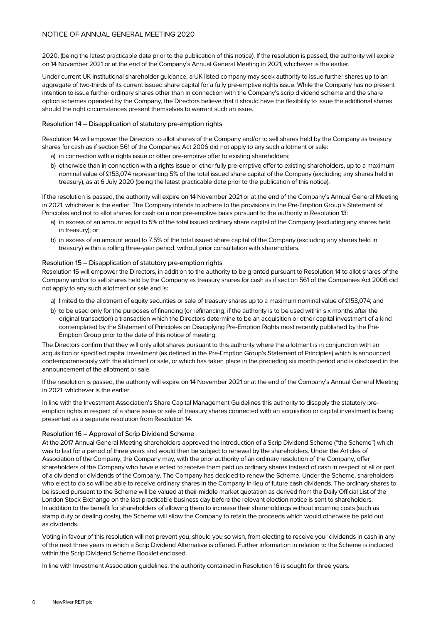# NOTICE OF ANNUAL GENERAL MEETING 2020

2020, (being the latest practicable date prior to the publication of this notice). If the resolution is passed, the authority will expire on 14 November 2021 or at the end of the Company's Annual General Meeting in 2021, whichever is the earlier.

Under current UK institutional shareholder guidance, a UK listed company may seek authority to issue further shares up to an aggregate of two-thirds of its current issued share capital for a fully pre-emptive rights issue. While the Company has no present intention to issue further ordinary shares other than in connection with the Company's scrip dividend scheme and the share option schemes operated by the Company, the Directors believe that it should have the flexibility to issue the additional shares should the right circumstances present themselves to warrant such an issue.

## Resolution 14 – Disapplication of statutory pre-emption rights

Resolution 14 will empower the Directors to allot shares of the Company and/or to sell shares held by the Company as treasury shares for cash as if section 561 of the Companies Act 2006 did not apply to any such allotment or sale:

- a) in connection with a rights issue or other pre-emptive offer to existing shareholders;
- b) otherwise than in connection with a rights issue or other fully pre-emptive offer to existing shareholders, up to a maximum nominal value of £153,074 representing 5% of the total issued share capital of the Company (excluding any shares held in treasury), as at 6 July 2020 (being the latest practicable date prior to the publication of this notice).

If the resolution is passed, the authority will expire on 14 November 2021 or at the end of the Company's Annual General Meeting in 2021, whichever is the earlier. The Company intends to adhere to the provisions in the Pre-Emption Group's Statement of Principles and not to allot shares for cash on a non pre-emptive basis pursuant to the authority in Resolution 13:

- a) in excess of an amount equal to 5% of the total issued ordinary share capital of the Company (excluding any shares held in treasury); or
- b) in excess of an amount equal to 7.5% of the total issued share capital of the Company (excluding any shares held in treasury) within a rolling three-year period, without prior consultation with shareholders.

# Resolution 15 – Disapplication of statutory pre-emption rights

Resolution 15 will empower the Directors, in addition to the authority to be granted pursuant to Resolution 14 to allot shares of the Company and/or to sell shares held by the Company as treasury shares for cash as if section 561 of the Companies Act 2006 did not apply to any such allotment or sale and is:

- a) limited to the allotment of equity securities or sale of treasury shares up to a maximum nominal value of £153,074; and
- b) to be used only for the purposes of financing (or refinancing, if the authority is to be used within six months after the original transaction) a transaction which the Directors determine to be an acquisition or other capital investment of a kind contemplated by the Statement of Principles on Disapplying Pre-Emption Rights most recently published by the Pre-Emption Group prior to the date of this notice of meeting.

The Directors confirm that they will only allot shares pursuant to this authority where the allotment is in conjunction with an acquisition or specified capital investment (as defined in the Pre-Emption Group's Statement of Principles) which is announced contemporaneously with the allotment or sale, or which has taken place in the preceding six month period and is disclosed in the announcement of the allotment or sale.

If the resolution is passed, the authority will expire on 14 November 2021 or at the end of the Company's Annual General Meeting in 2021, whichever is the earlier.

In line with the Investment Association's Share Capital Management Guidelines this authority to disapply the statutory preemption rights in respect of a share issue or sale of treasury shares connected with an acquisition or capital investment is being presented as a separate resolution from Resolution 14.

# Resolution 16 – Approval of Scrip Dividend Scheme

At the 2017 Annual General Meeting shareholders approved the introduction of a Scrip Dividend Scheme ("the Scheme") which was to last for a period of three years and would then be subject to renewal by the shareholders. Under the Articles of Association of the Company, the Company may, with the prior authority of an ordinary resolution of the Company, offer shareholders of the Company who have elected to receive them paid up ordinary shares instead of cash in respect of all or part of a dividend or dividends of the Company. The Company has decided to renew the Scheme. Under the Scheme, shareholders who elect to do so will be able to receive ordinary shares in the Company in lieu of future cash dividends. The ordinary shares to be issued pursuant to the Scheme will be valued at their middle market quotation as derived from the Daily Official List of the London Stock Exchange on the last practicable business day before the relevant election notice is sent to shareholders. In addition to the benefit for shareholders of allowing them to increase their shareholdings without incurring costs (such as stamp duty or dealing costs), the Scheme will allow the Company to retain the proceeds which would otherwise be paid out as dividends.

Voting in favour of this resolution will not prevent you, should you so wish, from electing to receive your dividends in cash in any of the next three years in which a Scrip Dividend Alternative is offered. Further information in relation to the Scheme is included within the Scrip Dividend Scheme Booklet enclosed.

In line with Investment Association guidelines, the authority contained in Resolution 16 is sought for three years.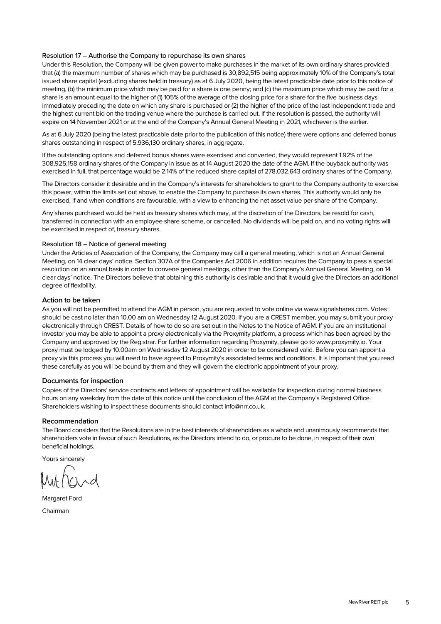## Resolution 17 – Authorise the Company to repurchase its own shares

Under this Resolution, the Company will be given power to make purchases in the market of its own ordinary shares provided that (a) the maximum number of shares which may be purchased is 30,892,515 being approximately 10% of the Company's total issued share capital (excluding shares held in treasury) as at 6 July 2020, being the latest practicable date prior to this notice of meeting, (b) the minimum price which may be paid for a share is one penny; and (c) the maximum price which may be paid for a share is an amount equal to the higher of (1) 105% of the average of the closing price for a share for the five business days immediately preceding the date on which any share is purchased or (2) the higher of the price of the last independent trade and the highest current bid on the trading venue where the purchase is carried out. If the resolution is passed, the authority will expire on 14 November 2021 or at the end of the Company's Annual General Meeting in 2021, whichever is the earlier.

As at 6 July 2020 (being the latest practicable date prior to the publication of this notice) there were options and deferred bonus shares outstanding in respect of 5,936,130 ordinary shares, in aggregate.

If the outstanding options and deferred bonus shares were exercised and converted, they would represent 1.92% of the 308,925,158 ordinary shares of the Company in issue as at 14 August 2020 the date of the AGM. If the buyback authority was exercised in full, that percentage would be 2.14% of the reduced share capital of 278,032,643 ordinary shares of the Company.

The Directors consider it desirable and in the Company's interests for shareholders to grant to the Company authority to exercise this power, within the limits set out above, to enable the Company to purchase its own shares. This authority would only be exercised, if and when conditions are favourable, with a view to enhancing the net asset value per share of the Company.

Any shares purchased would be held as treasury shares which may, at the discretion of the Directors, be resold for cash, transferred in connection with an employee share scheme, or cancelled. No dividends will be paid on, and no voting rights will be exercised in respect of, treasury shares.

#### Resolution 18 – Notice of general meeting

Under the Articles of Association of the Company, the Company may call a general meeting, which is not an Annual General Meeting, on 14 clear days' notice. Section 307A of the Companies Act 2006 in addition requires the Company to pass a special resolution on an annual basis in order to convene general meetings, other than the Company's Annual General Meeting, on 14 clear days' notice. The Directors believe that obtaining this authority is desirable and that it would give the Directors an additional degree of flexibility.

#### **Action to be taken**

As you will not be permitted to attend the AGM in person, you are requested to vote online via www.signalshares.com. Votes should be cast no later than 10.00 am on Wednesday 12 August 2020. If you are a CREST member, you may submit your proxy electronically through CREST. Details of how to do so are set out in the Notes to the Notice of AGM. If you are an institutional investor you may be able to appoint a proxy electronically via the Proxymity platform, a process which has been agreed by the Company and approved by the Registrar. For further information regarding Proxymity, please go to www.proxymity.io. Your proxy must be lodged by 10.00am on Wednesday 12 August 2020 in order to be considered valid. Before you can appoint a proxy via this process you will need to have agreed to Proxymity's associated terms and conditions. It is important that you read these carefully as you will be bound by them and they will govern the electronic appointment of your proxy.

#### **Documents for inspection**

Copies of the Directors' service contracts and letters of appointment will be available for inspection during normal business hours on any weekday from the date of this notice until the conclusion of the AGM at the Company's Registered Office. Shareholders wishing to inspect these documents should contact info@nrr.co.uk.

#### **Recommendation**

The Board considers that the Resolutions are in the best interests of shareholders as a whole and unanimously recommends that shareholders vote in favour of such Resolutions, as the Directors intend to do, or procure to be done, in respect of their own beneficial holdings.

Yours sincerely

Margaret Ford Chairman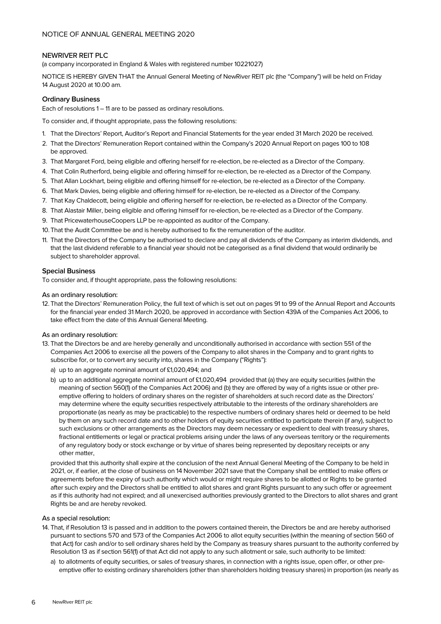# NEWRIVER REIT PLC

(a company incorporated in England & Wales with registered number 10221027)

NOTICE IS HEREBY GIVEN THAT the Annual General Meeting of NewRiver REIT plc (the "Company") will be held on Friday 14 August 2020 at 10.00 am.

## **Ordinary Business**

Each of resolutions 1 – 11 are to be passed as ordinary resolutions.

To consider and, if thought appropriate, pass the following resolutions:

- 1. That the Directors' Report, Auditor's Report and Financial Statements for the year ended 31 March 2020 be received.
- 2. That the Directors' Remuneration Report contained within the Company's 2020 Annual Report on pages 100 to 108 be approved.
- 3. That Margaret Ford, being eligible and offering herself for re-election, be re-elected as a Director of the Company.
- 4. That Colin Rutherford, being eligible and offering himself for re-election, be re-elected as a Director of the Company.
- 5. That Allan Lockhart, being eligible and offering himself for re-election, be re-elected as a Director of the Company.
- 6. That Mark Davies, being eligible and offering himself for re-election, be re-elected as a Director of the Company.
- 7. That Kay Chaldecott, being eligible and offering herself for re-election, be re-elected as a Director of the Company.
- 8. That Alastair Miller, being eligible and offering himself for re-election, be re-elected as a Director of the Company.
- 9. That PricewaterhouseCoopers LLP be re-appointed as auditor of the Company.
- 10.That the Audit Committee be and is hereby authorised to fix the remuneration of the auditor.
- 11. That the Directors of the Company be authorised to declare and pay all dividends of the Company as interim dividends, and that the last dividend referable to a financial year should not be categorised as a final dividend that would ordinarily be subject to shareholder approval.

#### **Special Business**

To consider and, if thought appropriate, pass the following resolutions:

#### As an ordinary resolution:

12.That the Directors' Remuneration Policy, the full text of which is set out on pages 91 to 99 of the Annual Report and Accounts for the financial year ended 31 March 2020, be approved in accordance with Section 439A of the Companies Act 2006, to take effect from the date of this Annual General Meeting.

#### As an ordinary resolution:

- 13. That the Directors be and are hereby generally and unconditionally authorised in accordance with section 551 of the Companies Act 2006 to exercise all the powers of the Company to allot shares in the Company and to grant rights to subscribe for, or to convert any security into, shares in the Company ("Rights"):
	- a) up to an aggregate nominal amount of £1,020,494; and
	- b) up to an additional aggregate nominal amount of £1,020,494 provided that (a) they are equity securities (within the meaning of section 560(1) of the Companies Act 2006) and (b) they are offered by way of a rights issue or other preemptive offering to holders of ordinary shares on the register of shareholders at such record date as the Directors' may determine where the equity securities respectively attributable to the interests of the ordinary shareholders are proportionate (as nearly as may be practicable) to the respective numbers of ordinary shares held or deemed to be held by them on any such record date and to other holders of equity securities entitled to participate therein (if any), subject to such exclusions or other arrangements as the Directors may deem necessary or expedient to deal with treasury shares, fractional entitlements or legal or practical problems arising under the laws of any overseas territory or the requirements of any regulatory body or stock exchange or by virtue of shares being represented by depositary receipts or any other matter,

provided that this authority shall expire at the conclusion of the next Annual General Meeting of the Company to be held in 2021, or, if earlier, at the close of business on 14 November 2021 save that the Company shall be entitled to make offers or agreements before the expiry of such authority which would or might require shares to be allotted or Rights to be granted after such expiry and the Directors shall be entitled to allot shares and grant Rights pursuant to any such offer or agreement as if this authority had not expired; and all unexercised authorities previously granted to the Directors to allot shares and grant Rights be and are hereby revoked.

#### As a special resolution:

- 14. That, if Resolution 13 is passed and in addition to the powers contained therein, the Directors be and are hereby authorised pursuant to sections 570 and 573 of the Companies Act 2006 to allot equity securities (within the meaning of section 560 of that Act) for cash and/or to sell ordinary shares held by the Company as treasury shares pursuant to the authority conferred by Resolution 13 as if section 561(1) of that Act did not apply to any such allotment or sale, such authority to be limited:
	- a) to allotments of equity securities, or sales of treasury shares, in connection with a rights issue, open offer, or other preemptive offer to existing ordinary shareholders (other than shareholders holding treasury shares) in proportion (as nearly as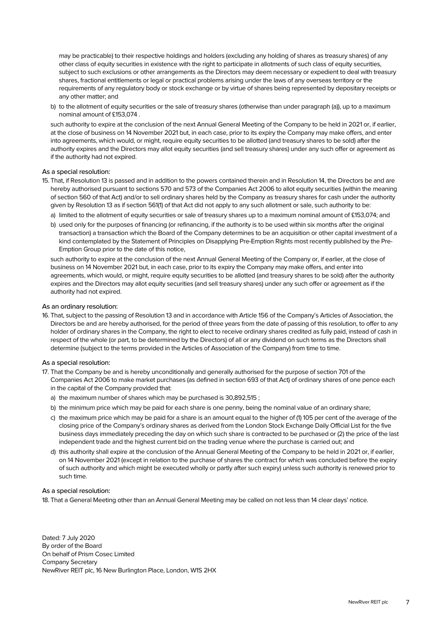may be practicable) to their respective holdings and holders (excluding any holding of shares as treasury shares) of any other class of equity securities in existence with the right to participate in allotments of such class of equity securities, subject to such exclusions or other arrangements as the Directors may deem necessary or expedient to deal with treasury shares, fractional entitlements or legal or practical problems arising under the laws of any overseas territory or the requirements of any regulatory body or stock exchange or by virtue of shares being represented by depositary receipts or any other matter; and

b) to the allotment of equity securities or the sale of treasury shares (otherwise than under paragraph (a)), up to a maximum nominal amount of £153,074 .

such authority to expire at the conclusion of the next Annual General Meeting of the Company to be held in 2021 or, if earlier, at the close of business on 14 November 2021 but, in each case, prior to its expiry the Company may make offers, and enter into agreements, which would, or might, require equity securities to be allotted (and treasury shares to be sold) after the authority expires and the Directors may allot equity securities (and sell treasury shares) under any such offer or agreement as if the authority had not expired.

#### As a special resolution:

- 15.That, if Resolution 13 is passed and in addition to the powers contained therein and in Resolution 14, the Directors be and are hereby authorised pursuant to sections 570 and 573 of the Companies Act 2006 to allot equity securities (within the meaning of section 560 of that Act) and/or to sell ordinary shares held by the Company as treasury shares for cash under the authority given by Resolution 13 as if section 561(1) of that Act did not apply to any such allotment or sale, such authority to be:
	- a) limited to the allotment of equity securities or sale of treasury shares up to a maximum nominal amount of £153,074; and
	- b) used only for the purposes of financing (or refinancing, if the authority is to be used within six months after the original transaction) a transaction which the Board of the Company determines to be an acquisition or other capital investment of a kind contemplated by the Statement of Principles on Disapplying Pre-Emption Rights most recently published by the Pre-Emption Group prior to the date of this notice,

such authority to expire at the conclusion of the next Annual General Meeting of the Company or, if earlier, at the close of business on 14 November 2021 but, in each case, prior to its expiry the Company may make offers, and enter into agreements, which would, or might, require equity securities to be allotted (and treasury shares to be sold) after the authority expires and the Directors may allot equity securities (and sell treasury shares) under any such offer or agreement as if the authority had not expired.

# As an ordinary resolution:

16.That, subject to the passing of Resolution 13 and in accordance with Article 156 of the Company's Articles of Association, the Directors be and are hereby authorised, for the period of three years from the date of passing of this resolution, to offer to any holder of ordinary shares in the Company, the right to elect to receive ordinary shares credited as fully paid, instead of cash in respect of the whole (or part, to be determined by the Directors) of all or any dividend on such terms as the Directors shall determine (subject to the terms provided in the Articles of Association of the Company) from time to time.

#### As a special resolution:

- 17. That the Company be and is hereby unconditionally and generally authorised for the purpose of section 701 of the Companies Act 2006 to make market purchases (as defined in section 693 of that Act) of ordinary shares of one pence each in the capital of the Company provided that:
	- a) the maximum number of shares which may be purchased is 30,892,515 ;
	- b) the minimum price which may be paid for each share is one penny, being the nominal value of an ordinary share;
	- c) the maximum price which may be paid for a share is an amount equal to the higher of (1) 105 per cent of the average of the closing price of the Company's ordinary shares as derived from the London Stock Exchange Daily Official List for the five business days immediately preceding the day on which such share is contracted to be purchased or (2) the price of the last independent trade and the highest current bid on the trading venue where the purchase is carried out; and
	- d) this authority shall expire at the conclusion of the Annual General Meeting of the Company to be held in 2021 or, if earlier, on 14 November 2021 (except in relation to the purchase of shares the contract for which was concluded before the expiry of such authority and which might be executed wholly or partly after such expiry) unless such authority is renewed prior to such time.

#### As a special resolution:

18. That a General Meeting other than an Annual General Meeting may be called on not less than 14 clear days' notice.

Dated: 7 July 2020 By order of the Board On behalf of Prism Cosec Limited Company Secretary NewRiver REIT plc, 16 New Burlington Place, London, W1S 2HX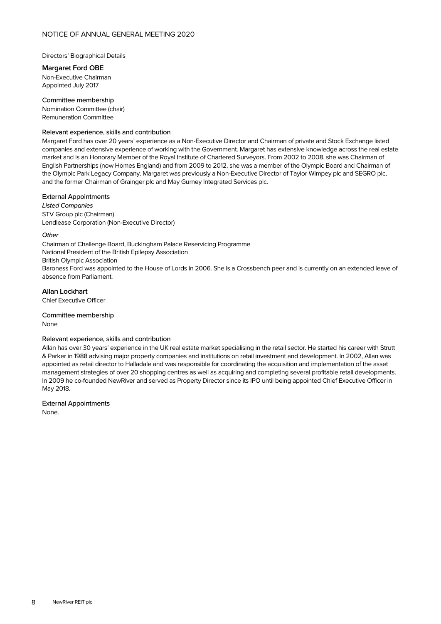Directors' Biographical Details

**Margaret Ford OBE** 

Non-Executive Chairman Appointed July 2017

Committee membership Nomination Committee (chair) Remuneration Committee

## Relevant experience, skills and contribution

Margaret Ford has over 20 years' experience as a Non-Executive Director and Chairman of private and Stock Exchange listed companies and extensive experience of working with the Government. Margaret has extensive knowledge across the real estate market and is an Honorary Member of the Royal Institute of Chartered Surveyors. From 2002 to 2008, she was Chairman of English Partnerships (now Homes England) and from 2009 to 2012, she was a member of the Olympic Board and Chairman of the Olympic Park Legacy Company. Margaret was previously a Non-Executive Director of Taylor Wimpey plc and SEGRO plc, and the former Chairman of Grainger plc and May Gurney Integrated Services plc.

#### External Appointments

Listed Companies STV Group plc (Chairman) Lendlease Corporation (Non-Executive Director)

**Other** 

Chairman of Challenge Board, Buckingham Palace Reservicing Programme National President of the British Epilepsy Association British Olympic Association Baroness Ford was appointed to the House of Lords in 2006. She is a Crossbench peer and is currently on an extended leave of absence from Parliament.

**Allan Lockhart**  Chief Executive Officer

Committee membership None

## Relevant experience, skills and contribution

Allan has over 30 years' experience in the UK real estate market specialising in the retail sector. He started his career with Strutt & Parker in 1988 advising major property companies and institutions on retail investment and development. In 2002, Allan was appointed as retail director to Halladale and was responsible for coordinating the acquisition and implementation of the asset management strategies of over 20 shopping centres as well as acquiring and completing several profitable retail developments. In 2009 he co-founded NewRiver and served as Property Director since its IPO until being appointed Chief Executive Officer in May 2018.

External Appointments None.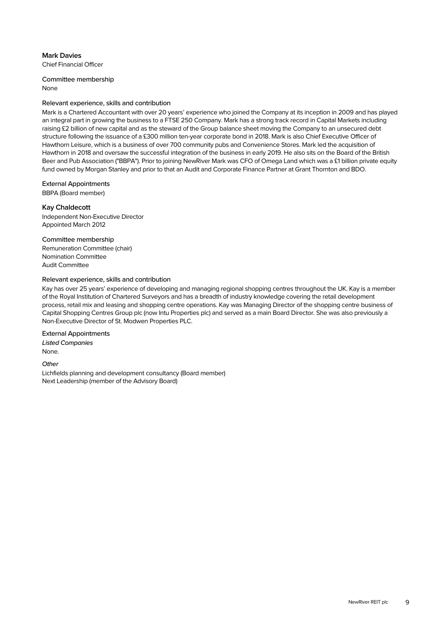# **Mark Davies**

Chief Financial Officer

Committee membership None

#### Relevant experience, skills and contribution

Mark is a Chartered Accountant with over 20 years' experience who joined the Company at its inception in 2009 and has played an integral part in growing the business to a FTSE 250 Company. Mark has a strong track record in Capital Markets including raising £2 billion of new capital and as the steward of the Group balance sheet moving the Company to an unsecured debt structure following the issuance of a £300 million ten-year corporate bond in 2018. Mark is also Chief Executive Officer of Hawthorn Leisure, which is a business of over 700 community pubs and Convenience Stores. Mark led the acquisition of Hawthorn in 2018 and oversaw the successful integration of the business in early 2019. He also sits on the Board of the British Beer and Pub Association ("BBPA"). Prior to joining NewRiver Mark was CFO of Omega Land which was a £1 billion private equity fund owned by Morgan Stanley and prior to that an Audit and Corporate Finance Partner at Grant Thornton and BDO.

#### External Appointments

BBPA (Board member)

#### **Kay Chaldecott**

Independent Non-Executive Director Appointed March 2012

#### Committee membership

Remuneration Committee (chair) Nomination Committee Audit Committee

# Relevant experience, skills and contribution

Kay has over 25 years' experience of developing and managing regional shopping centres throughout the UK. Kay is a member of the Royal Institution of Chartered Surveyors and has a breadth of industry knowledge covering the retail development process, retail mix and leasing and shopping centre operations. Kay was Managing Director of the shopping centre business of Capital Shopping Centres Group plc (now Intu Properties plc) and served as a main Board Director. She was also previously a Non-Executive Director of St. Modwen Properties PLC.

# External Appointments

Listed Companies None.

**Other** 

Lichfields planning and development consultancy (Board member) Next Leadership (member of the Advisory Board)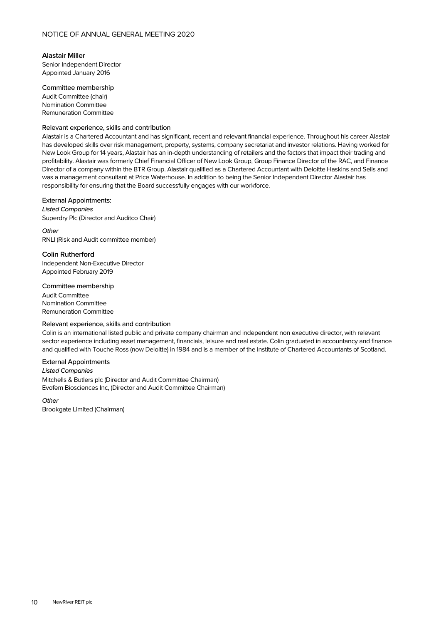**Alastair Miller**  Senior Independent Director Appointed January 2016

Committee membership Audit Committee (chair) Nomination Committee Remuneration Committee

#### Relevant experience, skills and contribution

Alastair is a Chartered Accountant and has significant, recent and relevant financial experience. Throughout his career Alastair has developed skills over risk management, property, systems, company secretariat and investor relations. Having worked for New Look Group for 14 years, Alastair has an in-depth understanding of retailers and the factors that impact their trading and profitability. Alastair was formerly Chief Financial Officer of New Look Group, Group Finance Director of the RAC, and Finance Director of a company within the BTR Group. Alastair qualified as a Chartered Accountant with Deloitte Haskins and Sells and was a management consultant at Price Waterhouse. In addition to being the Senior Independent Director Alastair has responsibility for ensuring that the Board successfully engages with our workforce.

# External Appointments:

Listed Companies Superdry Plc (Director and Auditco Chair)

**Other** RNLI (Risk and Audit committee member)

**Colin Rutherford**  Independent Non-Executive Director Appointed February 2019

Committee membership

Audit Committee Nomination Committee Remuneration Committee

#### Relevant experience, skills and contribution

Colin is an international listed public and private company chairman and independent non executive director, with relevant sector experience including asset management, financials, leisure and real estate. Colin graduated in accountancy and finance and qualified with Touche Ross (now Deloitte) in 1984 and is a member of the Institute of Chartered Accountants of Scotland.

#### External Appointments

Listed Companies Mitchells & Butlers plc (Director and Audit Committee Chairman) Evofem Biosciences Inc, (Director and Audit Committee Chairman)

**Other** Brookgate Limited (Chairman)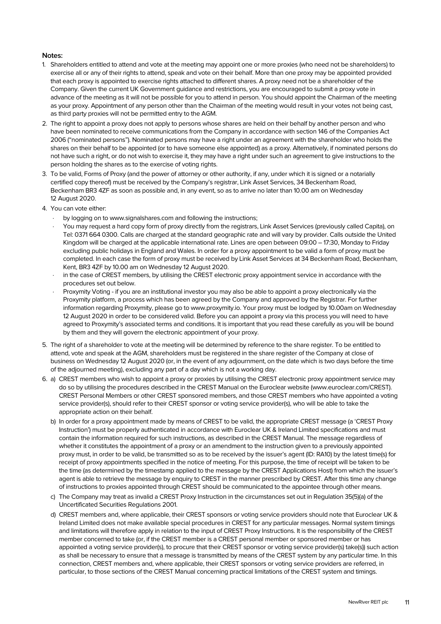### **Notes:**

- 1. Shareholders entitled to attend and vote at the meeting may appoint one or more proxies (who need not be shareholders) to exercise all or any of their rights to attend, speak and vote on their behalf. More than one proxy may be appointed provided that each proxy is appointed to exercise rights attached to different shares. A proxy need not be a shareholder of the Company. Given the current UK Government guidance and restrictions, you are encouraged to submit a proxy vote in advance of the meeting as it will not be possible for you to attend in person. You should appoint the Chairman of the meeting as your proxy. Appointment of any person other than the Chairman of the meeting would result in your votes not being cast, as third party proxies will not be permitted entry to the AGM.
- 2. The right to appoint a proxy does not apply to persons whose shares are held on their behalf by another person and who have been nominated to receive communications from the Company in accordance with section 146 of the Companies Act 2006 ("nominated persons"). Nominated persons may have a right under an agreement with the shareholder who holds the shares on their behalf to be appointed (or to have someone else appointed) as a proxy. Alternatively, if nominated persons do not have such a right, or do not wish to exercise it, they may have a right under such an agreement to give instructions to the person holding the shares as to the exercise of voting rights.
- 3. To be valid, Forms of Proxy (and the power of attorney or other authority, if any, under which it is signed or a notarially certified copy thereof) must be received by the Company's registrar, Link Asset Services, 34 Beckenham Road, Beckenham BR3 4ZF as soon as possible and, in any event, so as to arrive no later than 10.00 am on Wednesday 12 August 2020.
- 4. You can vote either:
	- by logging on to www.signalshares.com and following the instructions;
	- · You may request a hard copy form of proxy directly from the registrars, Link Asset Services (previously called Capita), on Tel: 0371 664 0300. Calls are charged at the standard geographic rate and will vary by provider. Calls outside the United Kingdom will be charged at the applicable international rate. Lines are open between 09:00 – 17:30, Monday to Friday excluding public holidays in England and Wales. In order for a proxy appointment to be valid a form of proxy must be completed. In each case the form of proxy must be received by Link Asset Services at 34 Beckenham Road, Beckenham, Kent, BR3 4ZF by 10.00 am on Wednesday 12 August 2020.
	- in the case of CREST members, by utilising the CREST electronic proxy appointment service in accordance with the procedures set out below.
	- Proxymity Voting if you are an institutional investor you may also be able to appoint a proxy electronically via the Proxymity platform, a process which has been agreed by the Company and approved by the Registrar. For further information regarding Proxymity, please go to www.proxymity.io. Your proxy must be lodged by 10.00am on Wednesday 12 August 2020 in order to be considered valid. Before you can appoint a proxy via this process you will need to have agreed to Proxymity's associated terms and conditions. It is important that you read these carefully as you will be bound by them and they will govern the electronic appointment of your proxy.
- 5. The right of a shareholder to vote at the meeting will be determined by reference to the share register. To be entitled to attend, vote and speak at the AGM, shareholders must be registered in the share register of the Company at close of business on Wednesday 12 August 2020 (or, in the event of any adjournment, on the date which is two days before the time of the adjourned meeting), excluding any part of a day which is not a working day.
- 6. a) CREST members who wish to appoint a proxy or proxies by utilising the CREST electronic proxy appointment service may do so by utilising the procedures described in the CREST Manual on the Euroclear website (www.euroclear.com/CREST). CREST Personal Members or other CREST sponsored members, and those CREST members who have appointed a voting service provider(s), should refer to their CREST sponsor or voting service provider(s), who will be able to take the appropriate action on their behalf.
	- b) In order for a proxy appointment made by means of CREST to be valid, the appropriate CREST message (a 'CREST Proxy Instruction') must be properly authenticated in accordance with Euroclear UK & Ireland Limited specifications and must contain the information required for such instructions, as described in the CREST Manual. The message regardless of whether it constitutes the appointment of a proxy or an amendment to the instruction given to a previously appointed proxy must, in order to be valid, be transmitted so as to be received by the issuer's agent (ID: RA10) by the latest time(s) for receipt of proxy appointments specified in the notice of meeting. For this purpose, the time of receipt will be taken to be the time (as determined by the timestamp applied to the message by the CREST Applications Host) from which the issuer's agent is able to retrieve the message by enquiry to CREST in the manner prescribed by CREST. After this time any change of instructions to proxies appointed through CREST should be communicated to the appointee through other means.
	- c) The Company may treat as invalid a CREST Proxy Instruction in the circumstances set out in Regulation 35(5)(a) of the Uncertificated Securities Regulations 2001.
	- d) CREST members and, where applicable, their CREST sponsors or voting service providers should note that Euroclear UK & Ireland Limited does not make available special procedures in CREST for any particular messages. Normal system timings and limitations will therefore apply in relation to the input of CREST Proxy Instructions. It is the responsibility of the CREST member concerned to take (or, if the CREST member is a CREST personal member or sponsored member or has appointed a voting service provider(s), to procure that their CREST sponsor or voting service provider(s) take(s)) such action as shall be necessary to ensure that a message is transmitted by means of the CREST system by any particular time. In this connection, CREST members and, where applicable, their CREST sponsors or voting service providers are referred, in particular, to those sections of the CREST Manual concerning practical limitations of the CREST system and timings.